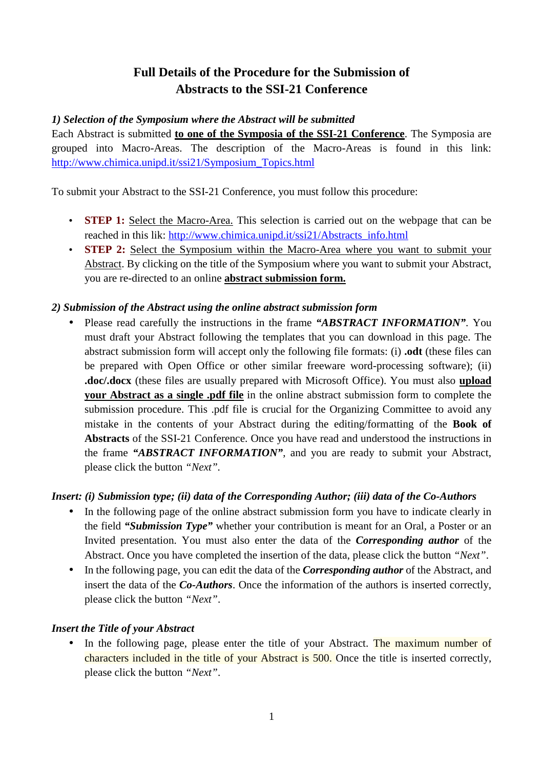# **Full Details of the Procedure for the Submission of Abstracts to the SSI-21 Conference**

### *1) Selection of the Symposium where the Abstract will be submitted*

Each Abstract is submitted **to one of the Symposia of the SSI-21 Conference**. The Symposia are grouped into Macro-Areas. The description of the Macro-Areas is found in this link: http://www.chimica.unipd.it/ssi21/Symposium\_Topics.html

To submit your Abstract to the SSI-21 Conference, you must follow this procedure:

- **STEP 1:** Select the Macro-Area. This selection is carried out on the webpage that can be reached in this lik: http://www.chimica.unipd.it/ssi21/Abstracts\_info.html
- **STEP 2:** Select the Symposium within the Macro-Area where you want to submit your Abstract. By clicking on the title of the Symposium where you want to submit your Abstract, you are re-directed to an online **abstract submission form.**

## *2) Submission of the Abstract using the online abstract submission form*

• Please read carefully the instructions in the frame *"ABSTRACT INFORMATION"*. You must draft your Abstract following the templates that you can download in this page. The abstract submission form will accept only the following file formats: (i) **.odt** (these files can be prepared with Open Office or other similar freeware word-processing software); (ii) **.doc/.docx** (these files are usually prepared with Microsoft Office). You must also **upload your Abstract as a single .pdf file** in the online abstract submission form to complete the submission procedure. This .pdf file is crucial for the Organizing Committee to avoid any mistake in the contents of your Abstract during the editing/formatting of the **Book of Abstracts** of the SSI-21 Conference. Once you have read and understood the instructions in the frame *"ABSTRACT INFORMATION"*, and you are ready to submit your Abstract, please click the button *"Next".*

#### *Insert: (i) Submission type; (ii) data of the Corresponding Author; (iii) data of the Co-Authors*

- In the following page of the online abstract submission form you have to indicate clearly in the field *"Submission Type"* whether your contribution is meant for an Oral, a Poster or an Invited presentation. You must also enter the data of the *Corresponding author* of the Abstract. Once you have completed the insertion of the data, please click the button *"Next"*.
- In the following page, you can edit the data of the *Corresponding author* of the Abstract, and insert the data of the *Co-Authors*. Once the information of the authors is inserted correctly, please click the button *"Next"*.

#### *Insert the Title of your Abstract*

In the following page, please enter the title of your Abstract. The maximum number of characters included in the title of your Abstract is 500. Once the title is inserted correctly, please click the button *"Next"*.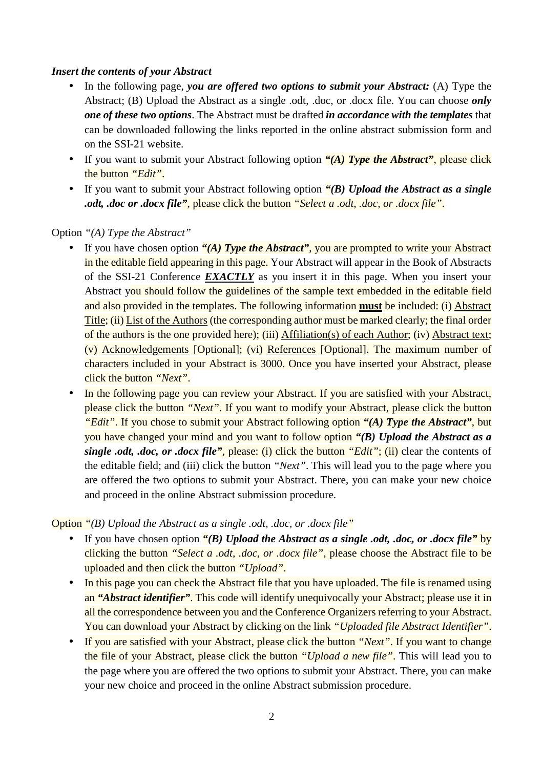#### *Insert the contents of your Abstract*

- In the following page, *you are offered two options to submit your Abstract:* (A) Type the Abstract; (B) Upload the Abstract as a single .odt, .doc, or .docx file. You can choose *only one of these two options*. The Abstract must be drafted *in accordance with the templates* that can be downloaded following the links reported in the online abstract submission form and on the SSI-21 website.
- If you want to submit your Abstract following option *"(A) Type the Abstract"*, please click the button *"Edit"*.
- If you want to submit your Abstract following option *"(B) Upload the Abstract as a single .odt, .doc or .docx file"*, please click the button *"Select a .odt, .doc, or .docx file"*.

#### Option *"(A) Type the Abstract"*

- If you have chosen option *"(A) Type the Abstract"*, you are prompted to write your Abstract in the editable field appearing in this page. Your Abstract will appear in the Book of Abstracts of the SSI-21 Conference *EXACTLY* as you insert it in this page. When you insert your Abstract you should follow the guidelines of the sample text embedded in the editable field and also provided in the templates. The following information **must** be included: (i) Abstract Title; (ii) List of the Authors (the corresponding author must be marked clearly; the final order of the authors is the one provided here); (iii) Affiliation(s) of each Author; (iv) Abstract text; (v) Acknowledgements [Optional]; (vi) References [Optional]. The maximum number of characters included in your Abstract is 3000. Once you have inserted your Abstract, please click the button *"Next"*.
- In the following page you can review your Abstract. If you are satisfied with your Abstract, please click the button *"Next"*. If you want to modify your Abstract, please click the button *"Edit"*. If you chose to submit your Abstract following option *"(A) Type the Abstract"*, but you have changed your mind and you want to follow option *"(B) Upload the Abstract as a single .odt, .doc, or .docx file"*, please: (i) click the button "*Edit*"; (ii) clear the contents of the editable field; and (iii) click the button *"Next"*. This will lead you to the page where you are offered the two options to submit your Abstract. There, you can make your new choice and proceed in the online Abstract submission procedure.

#### Option *"(B) Upload the Abstract as a single .odt, .doc, or .docx file"*

- If you have chosen option *"(B) Upload the Abstract as a single .odt, .doc, or .docx file*" by clicking the button *"Select a .odt, .doc, or .docx file"*, please choose the Abstract file to be uploaded and then click the button *"Upload"*.
- In this page you can check the Abstract file that you have uploaded. The file is renamed using an *"Abstract identifier"*. This code will identify unequivocally your Abstract; please use it in all the correspondence between you and the Conference Organizers referring to your Abstract. You can download your Abstract by clicking on the link *"Uploaded file Abstract Identifier"*.
- If you are satisfied with your Abstract, please click the button *"Next"*. If you want to change the file of your Abstract, please click the button *"Upload a new file"*. This will lead you to the page where you are offered the two options to submit your Abstract. There, you can make your new choice and proceed in the online Abstract submission procedure.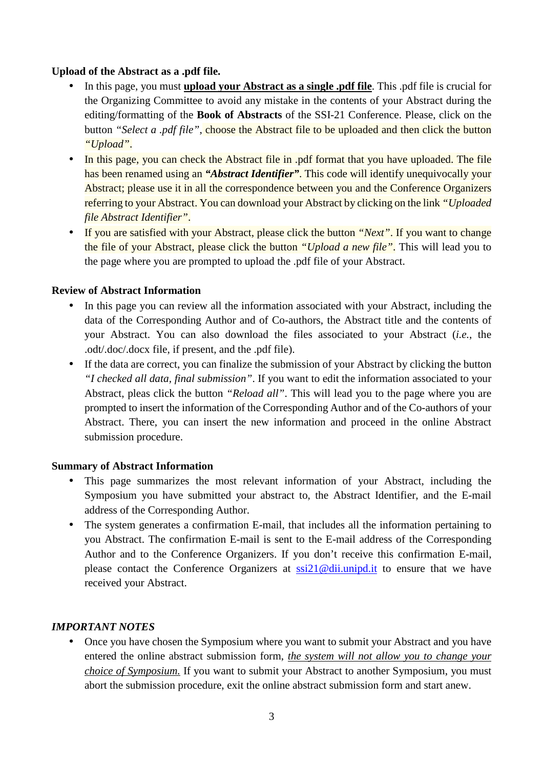## **Upload of the Abstract as a .pdf file.**

- In this page, you must **upload your Abstract as a single .pdf file**. This .pdf file is crucial for the Organizing Committee to avoid any mistake in the contents of your Abstract during the editing/formatting of the **Book of Abstracts** of the SSI-21 Conference. Please, click on the button *"Select a .pdf file"*, choose the Abstract file to be uploaded and then click the button *"Upload"*.
- In this page, you can check the Abstract file in .pdf format that you have uploaded. The file has been renamed using an *"Abstract Identifier"*. This code will identify unequivocally your Abstract; please use it in all the correspondence between you and the Conference Organizers referring to your Abstract. You can download your Abstract by clicking on the link *"Uploaded file Abstract Identifier"*.
- If you are satisfied with your Abstract, please click the button *"Next"*. If you want to change the file of your Abstract, please click the button *"Upload a new file"*. This will lead you to the page where you are prompted to upload the .pdf file of your Abstract.

## **Review of Abstract Information**

- In this page you can review all the information associated with your Abstract, including the data of the Corresponding Author and of Co-authors, the Abstract title and the contents of your Abstract. You can also download the files associated to your Abstract (*i.e.*, the .odt/.doc/.docx file, if present, and the .pdf file).
- If the data are correct, you can finalize the submission of your Abstract by clicking the button *"I checked all data, final submission"*. If you want to edit the information associated to your Abstract, pleas click the button *"Reload all"*. This will lead you to the page where you are prompted to insert the information of the Corresponding Author and of the Co-authors of your Abstract. There, you can insert the new information and proceed in the online Abstract submission procedure.

#### **Summary of Abstract Information**

- This page summarizes the most relevant information of your Abstract, including the Symposium you have submitted your abstract to, the Abstract Identifier, and the E-mail address of the Corresponding Author.
- The system generates a confirmation E-mail, that includes all the information pertaining to you Abstract. The confirmation E-mail is sent to the E-mail address of the Corresponding Author and to the Conference Organizers. If you don't receive this confirmation E-mail, please contact the Conference Organizers at ssi21@dii.unipd.it to ensure that we have received your Abstract.

## *IMPORTANT NOTES*

• Once you have chosen the Symposium where you want to submit your Abstract and you have entered the online abstract submission form, *the system will not allow you to change your choice of Symposium.* If you want to submit your Abstract to another Symposium, you must abort the submission procedure, exit the online abstract submission form and start anew.